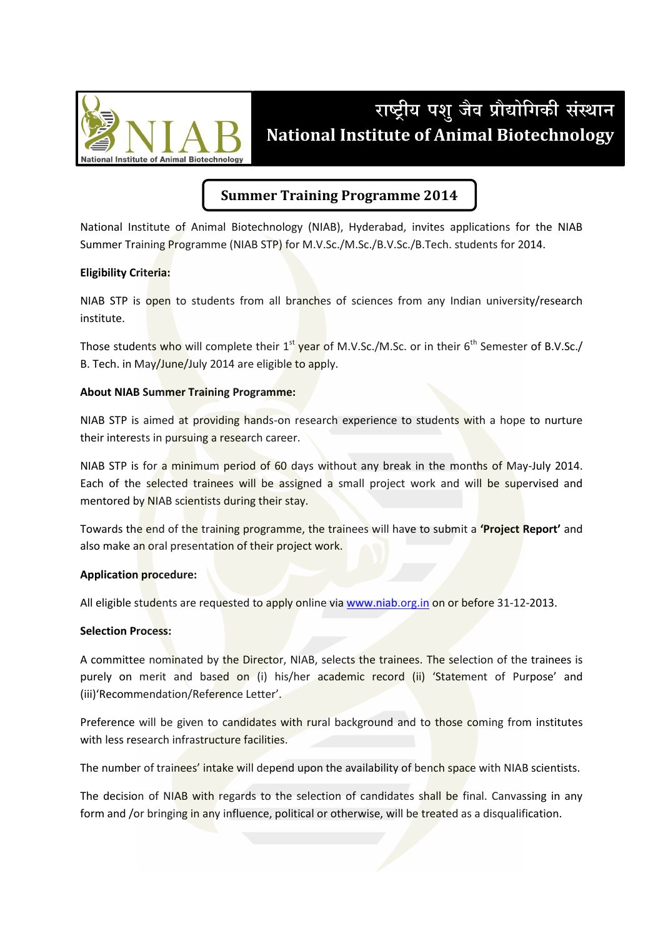

# राष्ट्रीय पशु जैव प्रौद्योगिकी संस्थान **National Institute of Animal Biotechnology**

# **Summer Training Programme 2014**

National Institute of Animal Biotechnology (NIAB), Hyderabad, invites applications for the NIAB Summer Training Programme (NIAB STP) for M.V.Sc./M.Sc./B.V.Sc./B.Tech. students for 2014.

### **Eligibility Criteria:**

NIAB STP is open to students from all branches of sciences from any Indian university/research institute.

Those students who will complete their 1<sup>st</sup> year of M.V.Sc./M.Sc. or in their 6<sup>th</sup> Semester of B.V.Sc./ B. Tech. in May/June/July 2014 are eligible to apply.

### **About NIAB Summer Training Programme:**

NIAB STP is aimed at providing hands-on research experience to students with a hope to nurture their interests in pursuing a research career.

NIAB STP is for a minimum period of 60 days without any break in the months of May-July 2014. Each of the selected trainees will be assigned a small project work and will be supervised and mentored by NIAB scientists during their stay.

Towards the end of the training programme, the trainees will have to submit a 'Project Report' and also make an oral presentation of their project work.

#### **Application procedure:**

All eligible students are requested to apply online via www.niab.org.in on or before 31-12-2013.

#### **Selection Process:**

A committee nominated by the Director, NIAB, selects the trainees. The selection of the trainees is purely on merit and based on (i) his/her academic record (ii) 'Statement of Purpose' and (iii)'Recommendation/Reference Letter'.

Preference will be given to candidates with rural background and to those coming from institutes with less research infrastructure facilities.

The number of trainees' intake will depend upon the availability of bench space with NIAB scientists.

The decision of NIAB with regards to the selection of candidates shall be final. Canvassing in any form and /or bringing in any influence, political or otherwise, will be treated as a disqualification.